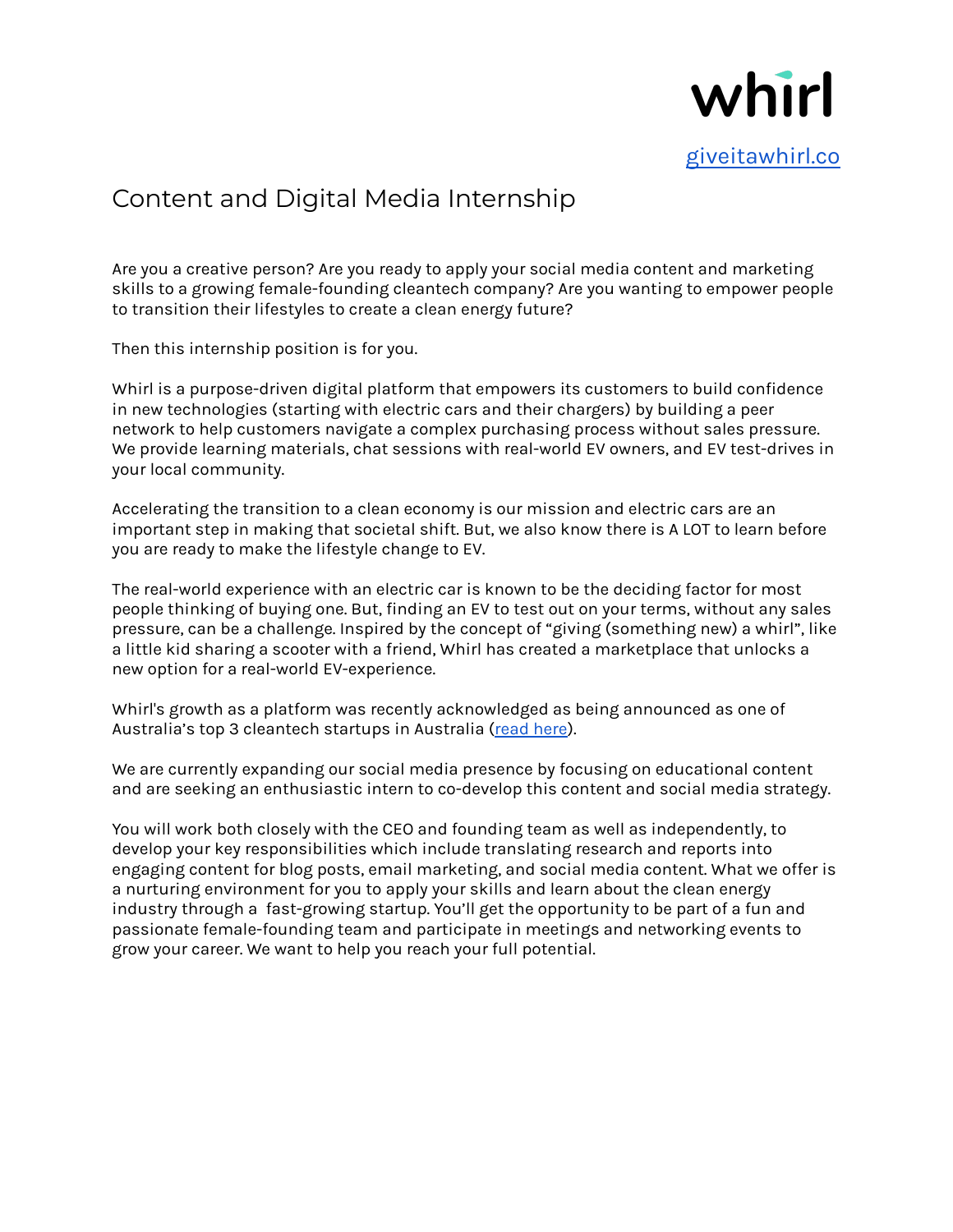

## Content and Digital Media Internship

Are you a creative person? Are you ready to apply your social media content and marketing skills to a growing female-founding cleantech company? Are you wanting to empower people to transition their lifestyles to create a clean energy future?

Then this internship position is for you.

Whirl is a purpose-driven digital platform that empowers its customers to build confidence in new technologies (starting with electric cars and their chargers) by building a peer network to help customers navigate a complex purchasing process without sales pressure. We provide learning materials, chat sessions with real-world EV owners, and EV test-drives in your local community.

Accelerating the transition to a clean economy is our mission and electric cars are an important step in making that societal shift. But, we also know there is A LOT to learn before you are ready to make the lifestyle change to EV.

The real-world experience with an electric car is known to be the deciding factor for most people thinking of buying one. But, finding an EV to test out on your terms, without any sales pressure, can be a challenge. Inspired by the concept of "giving (something new) a whirl", like a little kid sharing a scooter with a friend, Whirl has created a marketplace that unlocks a new option for a real-world EV-experience.

Whirl's growth as a platform was recently acknowledged as being announced as one of Australia's top 3 cleantech startups in Australia (read [here\)](https://climate-kic.org.au/2021/08/27/top-3-cleantech-startups-in-australia-named/).

We are currently expanding our social media presence by focusing on educational content and are seeking an enthusiastic intern to co-develop this content and social media strategy.

You will work both closely with the CEO and founding team as well as independently, to develop your key responsibilities which include translating research and reports into engaging content for blog posts, email marketing, and social media content. What we offer is a nurturing environment for you to apply your skills and learn about the clean energy industry through a fast-growing startup. You'll get the opportunity to be part of a fun and passionate female-founding team and participate in meetings and networking events to grow your career. We want to help you reach your full potential.